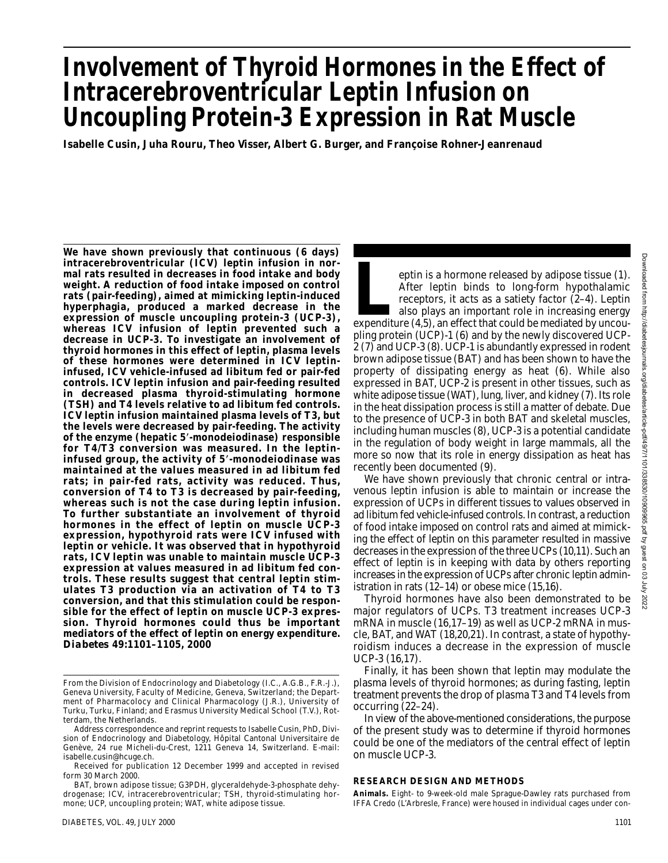# **Involvement of Thyroid Hormones in the Effect of Intracerebroventricular Leptin Infusion on Uncoupling Protein-3 Expression in Rat Muscle**

**Isabelle Cusin, Juha Rouru, Theo Visser, Albert G. Burger, and Françoise Rohner-Jeanrenaud**

**We have shown previously that continuous (6 days) intracerebroventricular (ICV) leptin infusion in normal rats resulted in decreases in food intake and body weight. A reduction of food intake imposed on control rats (pair-feeding), aimed at mimicking leptin-induced hyperphagia, produced a marked decrease in the expression of muscle uncoupling protein-3 (UCP-3), whereas ICV infusion of leptin prevented such a decrease in UCP-3. To investigate an involvement of thyroid hormones in this effect of leptin, plasma levels of these hormones were determined in ICV leptininfused, ICV vehicle-infused ad libitum fed or pair-fed controls. ICV leptin infusion and pair-feeding resulted in decreased plasma thyroid-stimulating hormone (TSH) and T4 levels relative to ad libitum fed controls. ICV leptin infusion maintained plasma levels of T3, but the levels were decreased by pair-feeding. The activity of the enzyme (hepatic 5**-**-monodeiodinase) responsible for T4/T3 conversion was measured. In the leptininfused group, the activity of 5**-**-monodeiodinase was maintained at the values measured in ad libitum fed rats; in pair-fed rats, activity was reduced. Thus, conversion of T4 to T3 is decreased by pair-feeding, whereas such is not the case during leptin infusion. To further substantiate an involvement of thyroid hormones in the effect of leptin on muscle UCP-3 expression, hypothyroid rats were ICV infused with leptin or vehicle. It was observed that in hypothyroid rats, ICV leptin was unable to maintain muscle UCP-3 expression at values measured in ad libitum fed controls. These results suggest that central leptin stimulates T3 production via an activation of T4 to T3 conversion, and that this stimulation could be responsible for the effect of leptin on muscle UCP-3 expression. Thyroid hormones could thus be important mediators of the effect of leptin on energy expenditure.** *Diabetes* **49:1101–1105, 2000**

eptin is a hormone released by adipose tissue (1).<br>After leptin binds to long-form hypothalamic<br>receptors, it acts as a satiety factor (2–4). Leptin<br>also plays an important role in increasing energy<br>expenditure (4,5), an e After leptin binds to long-form hypothalamic receptors, it acts as a satiety factor (2–4). Leptin also plays an important role in increasing energy pling protein (UCP)-1 (6) and by the newly discovered UCP-2 (7) and UCP-3 (8). UCP-1 is abundantly expressed in rodent brown adipose tissue (BAT) and has been shown to have the property of dissipating energy as heat (6). While also expressed in BAT, UCP-2 is present in other tissues, such as white adipose tissue (WAT), lung, liver, and kidney (7). Its role in the heat dissipation process is still a matter of debate. Due to the presence of UCP-3 in both BAT and skeletal muscles, including human muscles (8), UCP-3 is a potential candidate in the regulation of body weight in large mammals, all the more so now that its role in energy dissipation as heat has recently been documented (9).

We have shown previously that chronic central or intravenous leptin infusion is able to maintain or increase the expression of UCPs in different tissues to values observed in ad libitum fed vehicle-infused controls. In contrast, a reduction of food intake imposed on control rats and aimed at mimicking the effect of leptin on this parameter resulted in massive decreases in the expression of the three UCPs (10,11). Such an effect of leptin is in keeping with data by others reporting increases in the expression of UCPs after chronic leptin administration in rats (12–14) or obese mice (15,16).

Thyroid hormones have also been demonstrated to be major regulators of UCPs. T3 treatment increases UCP-3 mRNA in muscle (16,17–19) as well as UCP-2 mRNA in muscle, BAT, and WAT (18,20,21). In contrast, a state of hypothyroidism induces a decrease in the expression of muscle UCP-3 (16,17).

Finally, it has been shown that leptin may modulate the plasma levels of thyroid hormones; as during fasting, leptin treatment prevents the drop of plasma T3 and T4 levels from occurring (22–24).

In view of the above-mentioned considerations, the purpose of the present study was to determine if thyroid hormones could be one of the mediators of the central effect of leptin on muscle UCP-3.

## **RESEARCH DESIGN AND METHODS**

From the Division of Endocrinology and Diabetology (I.C., A.G.B., F.R.-J.), Geneva University, Faculty of Medicine, Geneva, Switzerland; the Department of Pharmacolocy and Clinical Pharmacology (J.R.), University of Turku, Turku, Finland; and Erasmus University Medical School (T.V.), Rotterdam, the Netherlands.

Address correspondence and reprint requests to Isabelle Cusin, PhD, Division of Endocrinology and Diabetology, Hôpital Cantonal Universitaire de Genève, 24 rue Micheli-du-Crest, 1211 Geneva 14, Switzerland. E-mail: isabelle.cusin@hcuge.ch.

Received for publication 12 December 1999 and accepted in revised form 30 March 2000.

BAT, brown adipose tissue; G3PDH, glyceraldehyde-3-phosphate dehydrogenase; ICV, intracerebroventricular; TSH, thyroid-stimulating hormone; UCP, uncoupling protein; WAT, white adipose tissue.

**Animals.** Eight- to 9-week-old male Sprague-Dawley rats purchased from IFFA Credo (L'Arbresle, France) were housed in individual cages under con-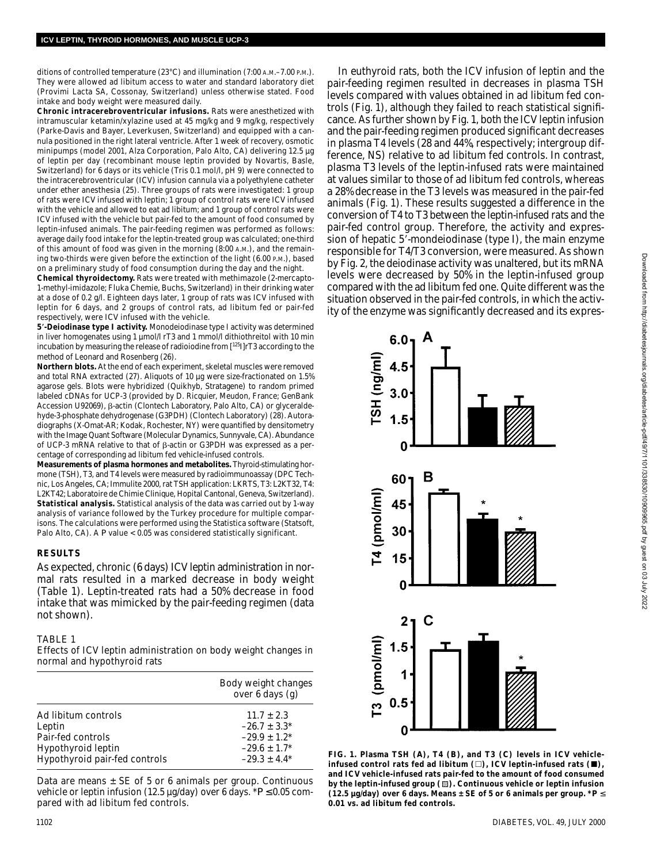ditions of controlled temperature (23°C) and illumination (7:00 A.M.–7.00 P.M.). They were allowed ad libitum access to water and standard laboratory diet (Provimi Lacta SA, Cossonay, Switzerland) unless otherwise stated. Food intake and body weight were measured daily.

**Chronic intracerebroventricular infusions.** Rats were anesthetized with intramuscular ketamin/xylazine used at 45 mg/kg and 9 mg/kg, respectively (Parke-Davis and Bayer, Leverkusen, Switzerland) and equipped with a cannula positioned in the right lateral ventricle. After 1 week of recovery, osmotic minipumps (model 2001, Alza Corporation, Palo Alto, CA) delivering 12.5 µg of leptin per day (recombinant mouse leptin provided by Novartis, Basle, Switzerland) for 6 days or its vehicle (Tris 0.1 mol/l, pH 9) were connected to the intracerebroventricular (ICV) infusion cannula via a polyethylene catheter under ether anesthesia (25). Three groups of rats were investigated: 1 group of rats were ICV infused with leptin; 1 group of control rats were ICV infused with the vehicle and allowed to eat ad libitum; and 1 group of control rats were ICV infused with the vehicle but pair-fed to the amount of food consumed by leptin-infused animals. The pair-feeding regimen was performed as follows: average daily food intake for the leptin-treated group was calculated; one-third of this amount of food was given in the morning (8:00 A.M.), and the remaining two-thirds were given before the extinction of the light (6.00 P.M.), based on a preliminary study of food consumption during the day and the night.

**Chemical thyroidectomy.** Rats were treated with methimazole (2-mercapto-1-methyl-imidazole; Fluka Chemie, Buchs, Switzerland) in their drinking water at a dose of 0.2 g/l. Eighteen days later, 1 group of rats was ICV infused with leptin for 6 days, and 2 groups of control rats, ad libitum fed or pair-fed respectively, were ICV infused with the vehicle.

**5**-**-Deiodinase type I activity.** Monodeiodinase type I activity was determined in liver homogenates using 1 µmol/l rT3 and 1 mmol/l dithiothreitol with 10 min incubation by measuring the release of radioiodine from [<sup>125</sup>I]rT3 according to the method of Leonard and Rosenberg (26).

**Northern blots.** At the end of each experiment, skeletal muscles were removed and total RNA extracted (27). Aliquots of 10 µg were size-fractionated on 1.5% agarose gels. Blots were hybridized (Quikhyb, Stratagene) to random primed labeled cDNAs for UCP-3 (provided by D. Ricquier, Meudon, France; GenBank Accession U92069), β-actin (Clontech Laboratory, Palo Alto, CA) or glyceraldehyde-3-phosphate dehydrogenase (G3PDH) (Clontech Laboratory) (28). Autoradiographs (X-Omat-AR; Kodak, Rochester, NY) were quantified by densitometry with the Image Quant Software (Molecular Dynamics, Sunnyvale, CA). Abundance of UCP-3 mRNA relative to that of  $\beta$ -actin or G3PDH was expressed as a percentage of corresponding ad libitum fed vehicle-infused controls.

**Measurements of plasma hormones and metabolites.** Thyroid-stimulating hormone (TSH), T3, and T4 levels were measured by radioimmunoassay (DPC Technic, Los Angeles, CA; Immulite 2000, rat TSH application: LKRTS, T3: L2KT32, T4: L2KT42; Laboratoire de Chimie Clinique, Hopital Cantonal, Geneva, Switzerland). **Statistical analysis.** Statistical analysis of the data was carried out by 1-way analysis of variance followed by the Turkey procedure for multiple comparisons. The calculations were performed using the Statistica software (Statsoft, Palo Alto, CA). A *P* value < 0.05 was considered statistically significant.

#### **RESULTS**

As expected, chronic (6 days) ICV leptin administration in normal rats resulted in a marked decrease in body weight (Table 1). Leptin-treated rats had a 50% decrease in food intake that was mimicked by the pair-feeding regimen (data not shown).

#### TABLE 1

Effects of ICV leptin administration on body weight changes in normal and hypothyroid rats

|                               | Body weight changes<br>over 6 days (g) |
|-------------------------------|----------------------------------------|
| Ad libitum controls           | $11.7 \pm 2.3$                         |
| Leptin                        | $-26.7 \pm 3.3^*$                      |
| Pair-fed controls             | $-29.9 \pm 1.2^*$                      |
| Hypothyroid leptin            | $-29.6 \pm 1.7^*$                      |
| Hypothyroid pair-fed controls | $-29.3 \pm 4.4^*$                      |

Data are means  $\pm$  SE of 5 or 6 animals per group. Continuous vehicle or leptin infusion (12.5  $\mu$ g/day) over 6 days. \* $P \le 0.05$  compared with ad libitum fed controls.

In euthyroid rats, both the ICV infusion of leptin and the pair-feeding regimen resulted in decreases in plasma TSH levels compared with values obtained in ad libitum fed controls (Fig. 1), although they failed to reach statistical significance. As further shown by Fig. 1, both the ICV leptin infusion and the pair-feeding regimen produced significant decreases in plasma T4 levels (28 and 44%, respectively; intergroup difference, NS) relative to ad libitum fed controls. In contrast, plasma T3 levels of the leptin-infused rats were maintained at values similar to those of ad libitum fed controls, whereas a 28% decrease in the T3 levels was measured in the pair-fed animals (Fig. 1). These results suggested a difference in the conversion of T4 to T3 between the leptin-infused rats and the pair-fed control group. Therefore, the activity and expression of hepatic 5'-mondeiodinase (type I), the main enzyme responsible for T4/T3 conversion, were measured. As shown by Fig. 2, the deiodinase activity was unaltered, but its mRNA levels were decreased by 50% in the leptin-infused group compared with the ad libitum fed one. Quite different was the situation observed in the pair-fed controls, in which the activity of the enzyme was significantly decreased and its expres-



**FIG. 1. Plasma TSH (***A***), T4 (***B***), and T3 (***C***) levels in ICV vehicle**infused control rats fed ad libitum ( $\Box$ ), ICV leptin-infused rats ( $\blacksquare$ ), **and ICV vehicle-infused rats pair-fed to the amount of food consumed by the leptin-infused group ( ). Continuous vehicle or leptin infusion (12.5 µg/day) over 6 days. Means**  $\pm$  **SE of 5 or 6 animals per group.**  $*P \leq$ **0.01 vs. ad libitum fed controls.**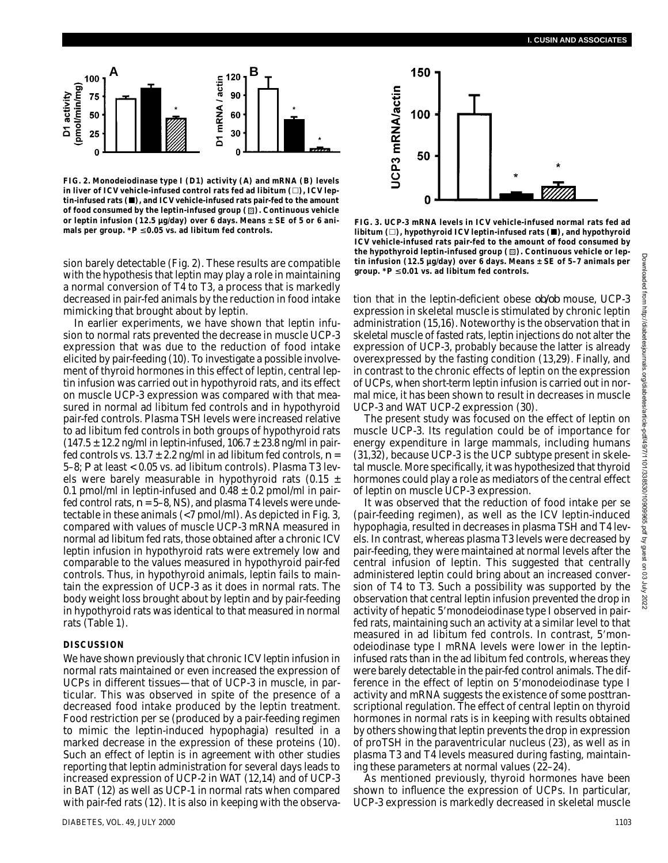

**FIG. 2. Monodeiodinase type I (D1) activity (***A***) and mRNA (***B***) levels** in liver of ICV vehicle-infused control rats fed ad libitum (□), ICV leptin-infused rats ( $\blacksquare$ ), and ICV vehicle-infused rats pair-fed to the amount of food consumed by the leptin-infused group ( $\mathbb Z$ ). Continuous vehicle **or leptin infusion (12.5 µg/day) over 6 days. Means ± SE of 5 or 6 ani**mals per group.  $*P \leq 0.05$  vs. ad libitum fed controls.

sion barely detectable (Fig. 2). These results are compatible with the hypothesis that leptin may play a role in maintaining a normal conversion of T4 to T3, a process that is markedly decreased in pair-fed animals by the reduction in food intake mimicking that brought about by leptin.

In earlier experiments, we have shown that leptin infusion to normal rats prevented the decrease in muscle UCP-3 expression that was due to the reduction of food intake elicited by pair-feeding (10). To investigate a possible involvement of thyroid hormones in this effect of leptin, central leptin infusion was carried out in hypothyroid rats, and its effect on muscle UCP-3 expression was compared with that measured in normal ad libitum fed controls and in hypothyroid pair-fed controls. Plasma TSH levels were increased relative to ad libitum fed controls in both groups of hypothyroid rats  $(147.5 \pm 12.2 \text{ ng/ml in leptin-infused}, 106.7 \pm 23.8 \text{ ng/ml in pair-}$ fed controls vs.  $13.7 \pm 2.2$  ng/ml in ad libitum fed controls,  $n =$ 5–8; *P* at least < 0.05 vs. ad libitum controls). Plasma T3 levels were barely measurable in hypothyroid rats  $(0.15 \pm 1)$ 0.1 pmol/ml in leptin-infused and  $0.48 \pm 0.2$  pmol/ml in pairfed control rats,  $n = 5-8$ , NS), and plasma T4 levels were undetectable in these animals (<7 pmol/ml). As depicted in Fig. 3, compared with values of muscle UCP-3 mRNA measured in normal ad libitum fed rats, those obtained after a chronic ICV leptin infusion in hypothyroid rats were extremely low and comparable to the values measured in hypothyroid pair-fed controls. Thus, in hypothyroid animals, leptin fails to maintain the expression of UCP-3 as it does in normal rats. The body weight loss brought about by leptin and by pair-feeding in hypothyroid rats was identical to that measured in normal rats (Table 1).

#### **DISCUSSION**

We have shown previously that chronic ICV leptin infusion in normal rats maintained or even increased the expression of UCPs in different tissues—that of UCP-3 in muscle, in particular. This was observed in spite of the presence of a decreased food intake produced by the leptin treatment. Food restriction per se (produced by a pair-feeding regimen to mimic the leptin-induced hypophagia) resulted in a marked decrease in the expression of these proteins (10). Such an effect of leptin is in agreement with other studies reporting that leptin administration for several days leads to increased expression of UCP-2 in WAT (12,14) and of UCP-3 in BAT (12) as well as UCP-1 in normal rats when compared with pair-fed rats (12). It is also in keeping with the observa-



**FIG. 3. UCP-3 mRNA levels in ICV vehicle-infused normal rats fed ad** libitum ( $\square$ ), hypothyroid ICV leptin-infused rats ( $\blacksquare$ ), and hypothyroid **ICV vehicle-infused rats pair-fed to the amount of food consumed by** the hypothyroid leptin-infused group ( $\boxtimes$ ). Continuous vehicle or lep**tin infusion (12.5 µg/day) over 6 days. Means ± SE of 5–7 animals per group. \****P* ≤ **0.01 vs. ad libitum fed controls.**

tion that in the leptin-deficient obese *ob/ob* mouse, UCP-3 expression in skeletal muscle is stimulated by chronic leptin administration (15,16). Noteworthy is the observation that in skeletal muscle of fasted rats, leptin injections do not alter the expression of UCP-3, probably because the latter is already overexpressed by the fasting condition (13,29). Finally, and in contrast to the chronic effects of leptin on the expression of UCPs, when short-term leptin infusion is carried out in normal mice, it has been shown to result in decreases in muscle UCP-3 and WAT UCP-2 expression (30).

The present study was focused on the effect of leptin on muscle UCP-3. Its regulation could be of importance for energy expenditure in large mammals, including humans (31,32), because UCP-3 is the UCP subtype present in skeletal muscle. More specifically, it was hypothesized that thyroid hormones could play a role as mediators of the central effect of leptin on muscle UCP-3 expression.

It was observed that the reduction of food intake per se (pair-feeding regimen), as well as the ICV leptin-induced hypophagia, resulted in decreases in plasma TSH and T4 levels. In contrast, whereas plasma T3 levels were decreased by pair-feeding, they were maintained at normal levels after the central infusion of leptin. This suggested that centrally administered leptin could bring about an increased conversion of T4 to T3. Such a possibility was supported by the observation that central leptin infusion prevented the drop in activity of hepatic 5'monodeiodinase type I observed in pairfed rats, maintaining such an activity at a similar level to that measured in ad libitum fed controls. In contrast, 5'monodeiodinase type I mRNA levels were lower in the leptininfused rats than in the ad libitum fed controls, whereas they were barely detectable in the pair-fed control animals. The difference in the effect of leptin on 5'monodeiodinase type I activity and mRNA suggests the existence of some posttranscriptional regulation. The effect of central leptin on thyroid hormones in normal rats is in keeping with results obtained by others showing that leptin prevents the drop in expression of proTSH in the paraventricular nucleus (23), as well as in plasma T3 and T4 levels measured during fasting, maintaining these parameters at normal values (22–24).

As mentioned previously, thyroid hormones have been shown to influence the expression of UCPs. In particular, UCP-3 expression is markedly decreased in skeletal muscle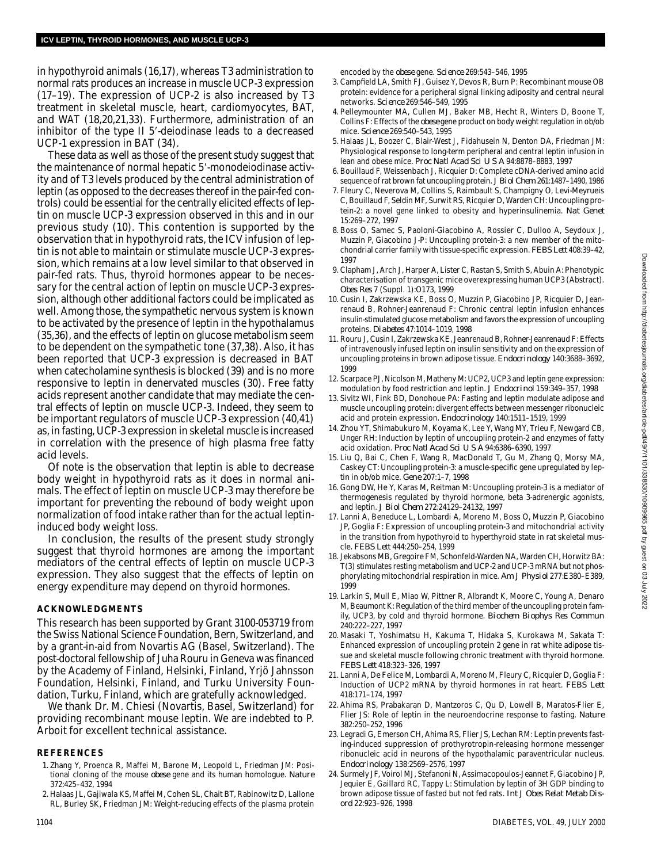in hypothyroid animals (16,17), whereas T3 administration to normal rats produces an increase in muscle UCP-3 expression (17–19). The expression of UCP-2 is also increased by T3 treatment in skeletal muscle, heart, cardiomyocytes, BAT, and WAT (18,20,21,33). Furthermore, administration of an inhibitor of the type II 5'-deiodinase leads to a decreased UCP-1 expression in BAT (34).

These data as well as those of the present study suggest that the maintenance of normal hepatic 5'-monodeiodinase activity and of T3 levels produced by the central administration of leptin (as opposed to the decreases thereof in the pair-fed controls) could be essential for the centrally elicited effects of leptin on muscle UCP-3 expression observed in this and in our previous study (10). This contention is supported by the observation that in hypothyroid rats, the ICV infusion of leptin is not able to maintain or stimulate muscle UCP-3 expression, which remains at a low level similar to that observed in pair-fed rats. Thus, thyroid hormones appear to be necessary for the central action of leptin on muscle UCP-3 expression, although other additional factors could be implicated as well. Among those, the sympathetic nervous system is known to be activated by the presence of leptin in the hypothalamus (35,36), and the effects of leptin on glucose metabolism seem to be dependent on the sympathetic tone (37,38). Also, it has been reported that UCP-3 expression is decreased in BAT when catecholamine synthesis is blocked (39) and is no more responsive to leptin in denervated muscles (30). Free fatty acids represent another candidate that may mediate the central effects of leptin on muscle UCP-3. Indeed, they seem to be important regulators of muscle UCP-3 expression (40,41) as, in fasting, UCP-3 expression in skeletal muscle is increased in correlation with the presence of high plasma free fatty acid levels.

Of note is the observation that leptin is able to decrease body weight in hypothyroid rats as it does in normal animals. The effect of leptin on muscle UCP-3 may therefore be important for preventing the rebound of body weight upon normalization of food intake rather than for the actual leptininduced body weight loss.

In conclusion, the results of the present study strongly suggest that thyroid hormones are among the important mediators of the central effects of leptin on muscle UCP-3 expression. They also suggest that the effects of leptin on energy expenditure may depend on thyroid hormones.

### **ACKNOWLEDGMENTS**

This research has been supported by Grant 3100-053719 from the Swiss National Science Foundation, Bern, Switzerland, and by a grant-in-aid from Novartis AG (Basel, Switzerland). The post-doctoral fellowship of Juha Rouru in Geneva was financed by the Academy of Finland, Helsinki, Finland, Yrjö Jahnsson Foundation, Helsinki, Finland, and Turku University Foundation, Turku, Finland, which are gratefully acknowledged.

We thank Dr. M. Chiesi (Novartis, Basel, Switzerland) for providing recombinant mouse leptin. We are indebted to P. Arboit for excellent technical assistance.

### **REFERENCES**

- 1. Zhang Y, Proenca R, Maffei M, Barone M, Leopold L, Friedman JM: Positional cloning of the mouse *obese* gene and its human homologue. *Nature* 372:425–432, 1994
- 2. Halaas JL, Gajiwala KS, Maffei M, Cohen SL, Chait BT, Rabinowitz D, Lallone RL, Burley SK, Friedman JM: Weight-reducing effects of the plasma protein

encoded by the *obese* gene. *Science* 269:543–546, 1995

- 3. Campfield LA, Smith FJ, Guisez Y, Devos R, Burn P: Recombinant mouse OB protein: evidence for a peripheral signal linking adiposity and central neural networks. *Science* 269:546–549, 1995
- 4. Pelleymounter MA, Cullen MJ, Baker MB, Hecht R, Winters D, Boone T, Collins F: Effects of the *obese* gene product on body weight regulation in ob/ob mice. *Science* 269:540–543, 1995
- 5. Halaas JL, Boozer C, Blair-West J, Fidahusein N, Denton DA, Friedman JM: Physiological response to long-term peripheral and central leptin infusion in lean and obese mice. *Proc Natl Acad Sci U S A* 94:8878–8883, 1997
- 6. Bouillaud F, Weissenbach J, Ricquier D: Complete cDNA-derived amino acid sequence of rat brown fat uncoupling protein. *J Biol Chem* 261:1487–1490, 1986
- 7. Fleury C, Neverova M, Collins S, Raimbault S, Champigny O, Levi-Meyrueis C, Bouillaud F, Seldin MF, Surwit RS, Ricquier D, Warden CH: Uncoupling protein-2: a novel gene linked to obesity and hyperinsulinemia. *Nat Genet* 15:269–272, 1997
- 8. Boss O, Samec S, Paoloni-Giacobino A, Rossier C, Dulloo A, Seydoux J, Muzzin P, Giacobino J-P: Uncoupling protein-3: a new member of the mitochondrial carrier family with tissue-specific expression. *FEBS Lett* 408:39–42, 1997
- 9. Clapham J, Arch J, Harper A, Lister C, Rastan S, Smith S, Abuin A: Phenotypic characterisation of transgenic mice overexpressing human UCP3 (Abstract). *Obes Res* 7 (Suppl. 1):O173, 1999
- 10. Cusin I, Zakrzewska KE, Boss O, Muzzin P, Giacobino JP, Ricquier D, Jeanrenaud B, Rohner-Jeanrenaud F: Chronic central leptin infusion enhances insulin-stimulated glucose metabolism and favors the expression of uncoupling proteins. *Diabetes* 47:1014–1019, 1998
- 11. Rouru J, Cusin I, Zakrzewska KE, Jeanrenaud B, Rohner-Jeanrenaud F: Effects of intravenously infused leptin on insulin sensitivity and on the expression of uncoupling proteins in brown adipose tissue. *Endocrinology* 140:3688–3692, 1999
- 12. Scarpace PJ, Nicolson M, Matheny M: UCP2, UCP3 and leptin gene expression: modulation by food restriction and leptin. *J Endocrinol* 159:349–357, 1998
- 13. Sivitz WI, Fink BD, Donohoue PA: Fasting and leptin modulate adipose and muscle uncoupling protein: divergent effects between messenger ribonucleic acid and protein expression. *Endocrinology* 140:1511–1519, 1999
- 14. Zhou YT, Shimabukuro M, Koyama K, Lee Y, Wang MY, Trieu F, Newgard CB, Unger RH: Induction by leptin of uncoupling protein-2 and enzymes of fatty acid oxidation. *Proc Natl Acad Sci U S A* 94:6386–6390, 1997
- 15. Liu Q, Bai C, Chen F, Wang R, MacDonald T, Gu M, Zhang Q, Morsy MA, Caskey CT: Uncoupling protein-3: a muscle-specific gene upregulated by leptin in ob/ob mice. *Gene* 207:1–7, 1998
- 16. Gong DW, He Y, Karas M, Reitman M: Uncoupling protein-3 is a mediator of thermogenesis regulated by thyroid hormone, beta 3-adrenergic agonists, and leptin. *J Biol Chem* 272:24129–24132, 1997
- 17. Lanni A, Beneduce L, Lombardi A, Moreno M, Boss O, Muzzin P, Giacobino JP, Goglia F: Expression of uncoupling protein-3 and mitochondrial activity in the transition from hypothyroid to hyperthyroid state in rat skeletal muscle. *FEBS Lett* 444:250–254, 1999
- 18. Jekabsons MB, Gregoire FM, Schonfeld-Warden NA, Warden CH, Horwitz BA: T(3) stimulates resting metabolism and UCP-2 and UCP-3 mRNA but not phosphorylating mitochondrial respiration in mice. *Am J Physiol* 277:E380–E389, 1999
- 19. Larkin S, Mull E, Miao W, Pittner R, Albrandt K, Moore C, Young A, Denaro M, Beaumont K: Regulation of the third member of the uncoupling protein family, UCP3, by cold and thyroid hormone. *Biochem Biophys Res Commun* 240:222–227, 1997
- 20. Masaki T, Yoshimatsu H, Kakuma T, Hidaka S, Kurokawa M, Sakata T: Enhanced expression of uncoupling protein 2 gene in rat white adipose tissue and skeletal muscle following chronic treatment with thyroid hormone. *FEBS Lett* 418:323–326, 1997
- 21. Lanni A, De Felice M, Lombardi A, Moreno M, Fleury C, Ricquier D, Goglia F: Induction of UCP2 mRNA by thyroid hormones in rat heart. *FEBS Lett* 418:171–174, 1997
- 22. Ahima RS, Prabakaran D, Mantzoros C, Qu D, Lowell B, Maratos-Flier E, Flier JS: Role of leptin in the neuroendocrine response to fasting. *Nature* 382:250–252, 1996
- 23. Legradi G, Emerson CH, Ahima RS, Flier JS, Lechan RM: Leptin prevents fasting-induced suppression of prothyrotropin-releasing hormone messenger ribonucleic acid in neurons of the hypothalamic paraventricular nucleus. *Endocrinology* 138:2569–2576, 1997
- 24. Surmely JF, Voirol MJ, Stefanoni N, Assimacopoulos-Jeannet F, Giacobino JP, Jequier E, Gaillard RC, Tappy L: Stimulation by leptin of 3H GDP binding to brown adipose tissue of fasted but not fed rats*. Int J Obes Relat Metab Disord* 22:923–926, 1998